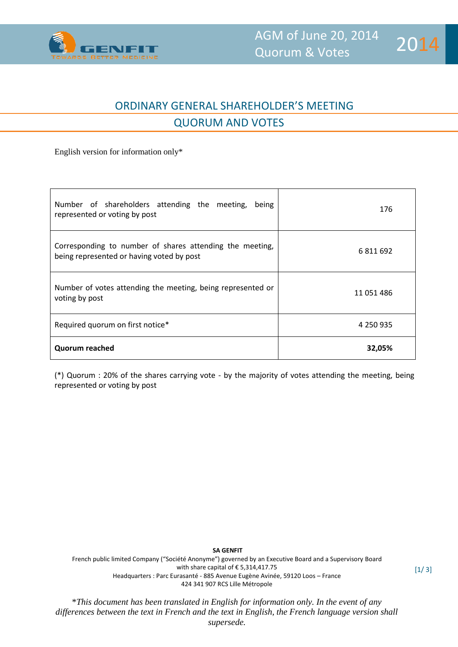

l

 $[1/ 3]$ 

## ORDINARY GENERAL SHAREHOLDER'S MEETING QUORUM AND VOTES

English version for information only\*

| Number of shareholders attending the meeting,<br>being<br>represented or voting by post               | 176        |
|-------------------------------------------------------------------------------------------------------|------------|
| Corresponding to number of shares attending the meeting,<br>being represented or having voted by post | 6811692    |
| Number of votes attending the meeting, being represented or<br>voting by post                         | 11 051 486 |
| Required quorum on first notice*                                                                      | 4 250 935  |
| <b>Quorum reached</b>                                                                                 | 32,05%     |

(\*) Quorum : 20% of the shares carrying vote - by the majority of votes attending the meeting, being represented or voting by post

**SA GENFIT** French public limited Company ("Société Anonyme") governed by an Executive Board and a Supervisory Board with share capital of € 5,314,417.75 Headquarters : Parc Eurasanté - 885 Avenue Eugène Avinée, 59120 Loos – France 424 341 907 RCS Lille Métropole

\**This document has been translated in English for information only. In the event of any differences between the text in French and the text in English, the French language version shall supersede.*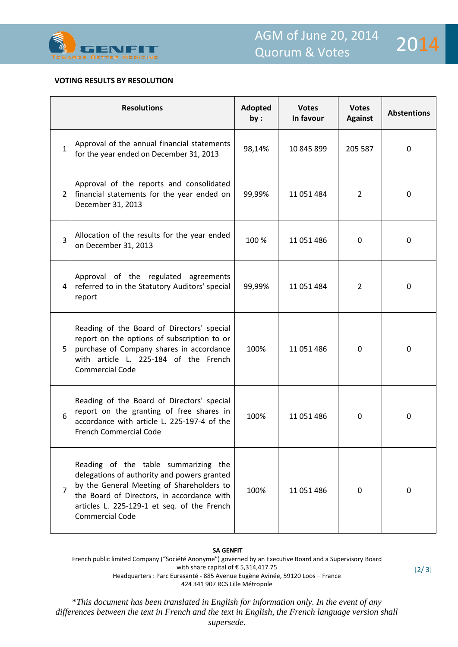

l

## **VOTING RESULTS BY RESOLUTION**

|                | <b>Resolutions</b>                                                                                                                                                                                                                                      | Adopted<br>by: | <b>Votes</b><br>In favour | <b>Votes</b><br><b>Against</b> | <b>Abstentions</b> |
|----------------|---------------------------------------------------------------------------------------------------------------------------------------------------------------------------------------------------------------------------------------------------------|----------------|---------------------------|--------------------------------|--------------------|
| 1              | Approval of the annual financial statements<br>for the year ended on December 31, 2013                                                                                                                                                                  | 98,14%         | 10 845 899                | 205 587                        | $\mathbf 0$        |
| $\overline{2}$ | Approval of the reports and consolidated<br>financial statements for the year ended on<br>December 31, 2013                                                                                                                                             | 99,99%         | 11 051 484                | $\overline{2}$                 | $\Omega$           |
| $\overline{3}$ | Allocation of the results for the year ended<br>on December 31, 2013                                                                                                                                                                                    | 100 %          | 11 051 486                | $\Omega$                       | $\Omega$           |
| 4              | Approval of the regulated agreements<br>referred to in the Statutory Auditors' special<br>report                                                                                                                                                        | 99,99%         | 11 051 484                | $\overline{2}$                 | $\Omega$           |
| 5              | Reading of the Board of Directors' special<br>report on the options of subscription to or<br>purchase of Company shares in accordance<br>with article L. 225-184 of the French<br><b>Commercial Code</b>                                                | 100%           | 11 051 486                | 0                              | $\Omega$           |
| 6              | Reading of the Board of Directors' special<br>report on the granting of free shares in<br>accordance with article L. 225-197-4 of the<br>French Commercial Code                                                                                         | 100%           | 11 051 486                | $\Omega$                       | $\mathbf 0$        |
| 7              | Reading of the table summarizing the<br>delegations of authority and powers granted<br>by the General Meeting of Shareholders to<br>the Board of Directors, in accordance with<br>articles L. 225-129-1 et seq. of the French<br><b>Commercial Code</b> | 100%           | 11 051 486                | $\Omega$                       | $\mathbf 0$        |

## **SA GENFIT**

French public limited Company ("Société Anonyme") governed by an Executive Board and a Supervisory Board with share capital of € 5,314,417.75 Headquarters : Parc Eurasanté - 885 Avenue Eugène Avinée, 59120 Loos – France 424 341 907 RCS Lille Métropole

\**This document has been translated in English for information only. In the event of any differences between the text in French and the text in English, the French language version shall supersede.*

[2/ 3]